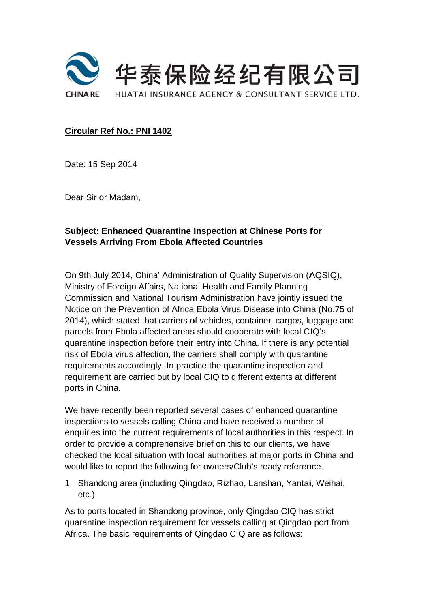

#### Circular Ref No.: PNI 1402

Date: 15 Sep 2014

Dear Sir or Madam,

## **Subject: Enhanced Quarantine Inspection at Chinese Ports for Vessels Arriving From Ebola Affected Countries**

On 9th July 2014, China' Administration of Quality Supervision (AQSIQ), Ministry of Foreign Affairs, National Health and Family Planning Commission and National Tourism Administration have jointly issued the Notice on the Prevention of Africa Ebola Virus Disease into China (No.75 of 2014), which stated that carriers of vehicles, container, cargos, luggage and parcels from Ebola affected areas should cooperate with local CIQ's quarantine inspection before their entry into China. If there is any potential risk of Ebola virus affection, the carriers shall comply with quarantine requirements accordingly. In practice the quarantine inspection and requirement are carried out by local CIQ to different extents at different ports in China.

We have recently been reported several cases of enhanced quarantine inspections to vessels calling China and have received a number of enquiries into the current requirements of local authorities in this respect. In order to provide a comprehensive brief on this to our clients, we have checked the local situation with local authorities at major ports in China and would like to report the following for owners/Club's ready reference.

1. Shandong area (including Qingdao, Rizhao, Lanshan, Yantai, Weihai,  $etc.$ )

As to ports located in Shandong province, only Qingdao CIQ has strict quarantine inspection requirement for vessels calling at Qingdao port from Africa. The basic requirements of Qingdao CIQ are as follows: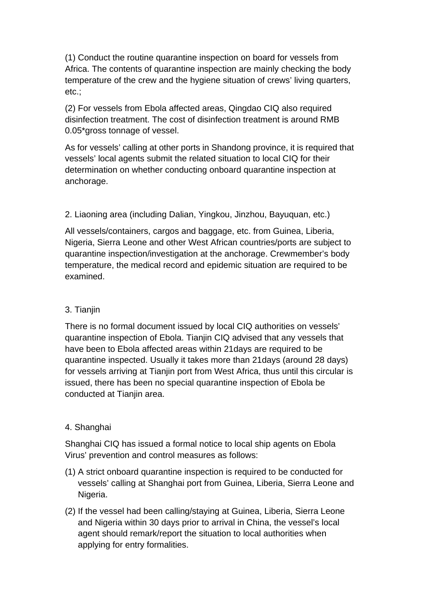(1) Conduct the routine quarantine inspection on board for vessels from Africa. The contents of quarantine inspection are mainly checking the body temperature of the crew and the hygiene situation of crews' living quarters, etc.;

(2) For vessels from Ebola affected areas, Qingdao CIQ also required disinfection treatment. The cost of disinfection treatment is around RMB 0.05\*gross tonnage of vessel.

As for vessels' calling at other ports in Shandong province, it is required that vessels' local agents submit the related situation to local CIQ for their determination on whether conducting onboard quarantine inspection at anchorage.

2. Liaoning area (including Dalian, Yingkou, Jinzhou, Bayuquan, etc.)

All vessels/containers, cargos and baggage, etc. from Guinea, Liberia, Nigeria, Sierra Leone and other West African countries/ports are subject to quarantine inspection/investigation at the anchorage. Crewmember's body temperature, the medical record and epidemic situation are required to be examined.

### 3. Tianjin

There is no formal document issued by local CIQ authorities on vessels' quarantine inspection of Ebola. Tianjin CIQ advised that any vessels that have been to Ebola affected areas within 21days are required to be quarantine inspected. Usually it takes more than 21days (around 28 days) for vessels arriving at Tianjin port from West Africa, thus until this circular is issued, there has been no special quarantine inspection of Ebola be conducted at Tianjin area.

# 4. Shanghai

Shanghai CIQ has issued a formal notice to local ship agents on Ebola Virus' prevention and control measures as follows:

- (1) A strict onboard quarantine inspection is required to be conducted for vessels' calling at Shanghai port from Guinea, Liberia, Sierra Leone and Nigeria.
- (2) If the vessel had been calling/staying at Guinea, Liberia, Sierra Leone and Nigeria within 30 days prior to arrival in China, the vessel's local agent should remark/report the situation to local authorities when applying for entry formalities.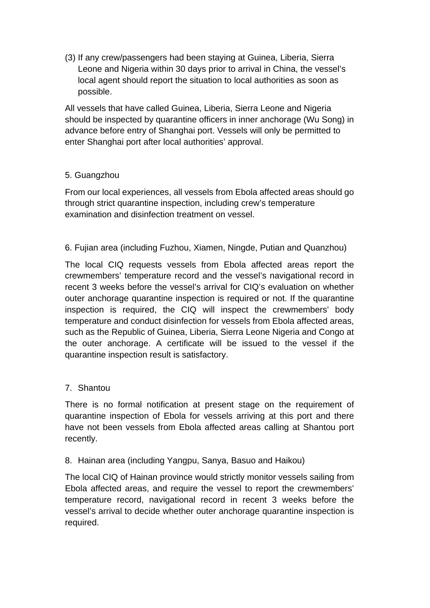(3) If any crew/passengers had been staying at Guinea, Liberia, Sierra Leone and Nigeria within 30 days prior to arrival in China, the vessel's local agent should report the situation to local authorities as soon as possible.

All vessels that have called Guinea, Liberia, Sierra Leone and Nigeria should be inspected by quarantine officers in inner anchorage (Wu Song) in advance before entry of Shanghai port. Vessels will only be permitted to enter Shanghai port after local authorities' approval.

### 5. Guangzhou

From our local experiences, all vessels from Ebola affected areas should go through strict quarantine inspection, including crew's temperature examination and disinfection treatment on vessel.

### 6. Fujian area (including Fuzhou, Xiamen, Ningde, Putian and Quanzhou)

The local CIQ requests vessels from Ebola affected areas report the crewmembers' temperature record and the vessel's navigational record in recent 3 weeks before the vessel's arrival for CIQ's evaluation on whether outer anchorage quarantine inspection is required or not. If the quarantine inspection is required, the CIQ will inspect the crewmembers' body temperature and conduct disinfection for vessels from Ebola affected areas, such as the Republic of Guinea, Liberia, Sierra Leone Nigeria and Congo at the outer anchorage. A certificate will be issued to the vessel if the quarantine inspection result is satisfactory.

### 7. Shantou

There is no formal notification at present stage on the requirement of quarantine inspection of Ebola for vessels arriving at this port and there have not been vessels from Ebola affected areas calling at Shantou port recently.

### 8. Hainan area (including Yangpu, Sanya, Basuo and Haikou)

The local CIQ of Hainan province would strictly monitor vessels sailing from Ebola affected areas, and require the vessel to report the crewmembers' temperature record, navigational record in recent 3 weeks before the vessel's arrival to decide whether outer anchorage quarantine inspection is required.